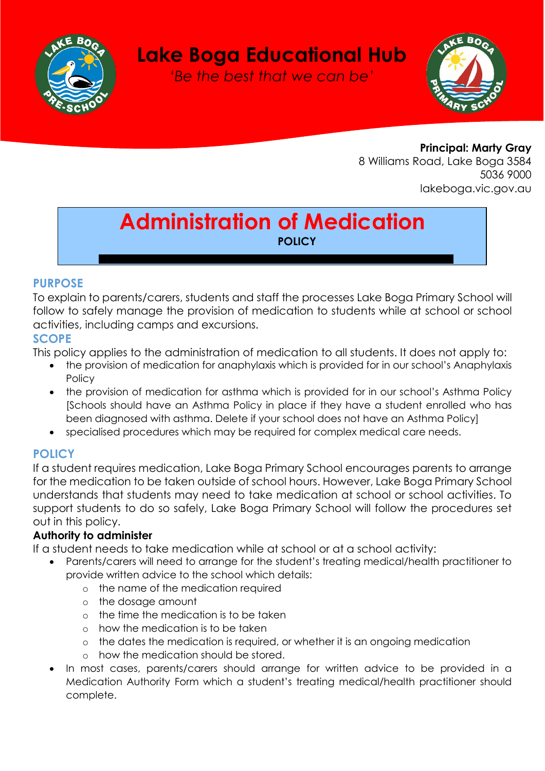

# **Lake Boga Educational Hub**

*'Be the best that we can be'*



**Principal: Marty Gray** 8 Williams Road, Lake Boga 3584 5036 9000 lakeboga.vic.gov.au

# **Administration of Medication POLICY**

#### **PURPOSE**

To explain to parents/carers, students and staff the processes Lake Boga Primary School will follow to safely manage the provision of medication to students while at school or school activities, including camps and excursions.

#### **SCOPE**

This policy applies to the administration of medication to all students. It does not apply to:

- the provision of medication for anaphylaxis which is provided for in our school's Anaphylaxis **Policy**
- the provision of medication for asthma which is provided for in our school's Asthma Policy [Schools should have an Asthma Policy in place if they have a student enrolled who has been diagnosed with asthma. Delete if your school does not have an Asthma Policy]
- specialised procedures which may be required for complex medical care needs.

## **POLICY**

If a student requires medication, Lake Boga Primary School encourages parents to arrange for the medication to be taken outside of school hours. However, Lake Boga Primary School understands that students may need to take medication at school or school activities. To support students to do so safely, Lake Boga Primary School will follow the procedures set out in this policy.

### **Authority to administer**

If a student needs to take medication while at school or at a school activity:

- Parents/carers will need to arrange for the student's treating medical/health practitioner to provide written advice to the school which details:
	- o the name of the medication required
	- o the dosage amount
	- o the time the medication is to be taken
	- o how the medication is to be taken
	- o the dates the medication is required, or whether it is an ongoing medication
	- o how the medication should be stored.
- In most cases, parents/carers should arrange for written advice to be provided in a Medication Authority Form which a student's treating medical/health practitioner should complete.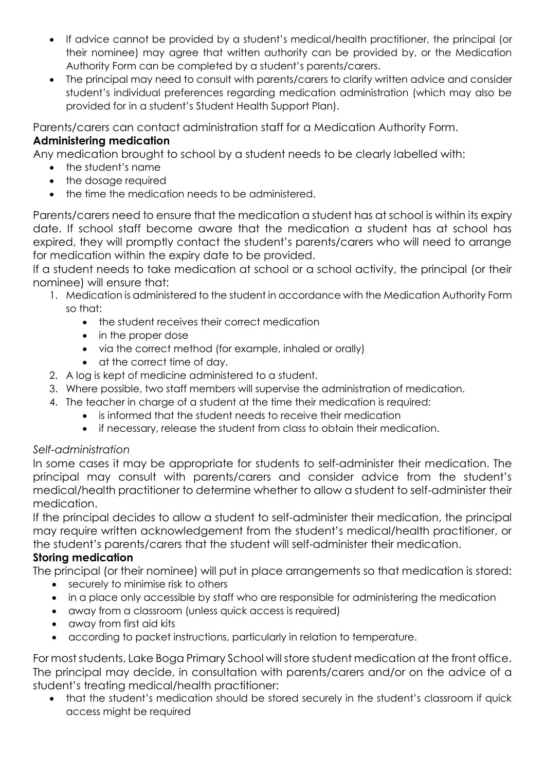- If advice cannot be provided by a student's medical/health practitioner, the principal (or their nominee) may agree that written authority can be provided by, or the Medication Authority Form can be completed by a student's parents/carers.
- The principal may need to consult with parents/carers to clarify written advice and consider student's individual preferences regarding medication administration (which may also be provided for in a student's Student Health Support Plan).

Parents/carers can contact administration staff for a Medication Authority Form.

#### **Administering medication**

Any medication brought to school by a student needs to be clearly labelled with:

- the student's name
- the dosage required
- the time the medication needs to be administered.

Parents/carers need to ensure that the medication a student has at school is within its expiry date. If school staff become aware that the medication a student has at school has expired, they will promptly contact the student's parents/carers who will need to arrange for medication within the expiry date to be provided.

If a student needs to take medication at school or a school activity, the principal (or their nominee) will ensure that:

- 1. Medication is administered to the student in accordance with the Medication Authority Form so that:
	- the student receives their correct medication
	- in the proper dose
	- via the correct method (for example, inhaled or orally)
	- at the correct time of day.
- 2. A log is kept of medicine administered to a student.
- 3. Where possible, two staff members will supervise the administration of medication.
- 4. The teacher in charge of a student at the time their medication is required:
	- is informed that the student needs to receive their medication
	- if necessary, release the student from class to obtain their medication.

#### *Self-administration*

In some cases it may be appropriate for students to self-administer their medication. The principal may consult with parents/carers and consider advice from the student's medical/health practitioner to determine whether to allow a student to self-administer their medication.

If the principal decides to allow a student to self-administer their medication, the principal may require written acknowledgement from the student's medical/health practitioner, or the student's parents/carers that the student will self-administer their medication.

#### **Storing medication**

The principal (or their nominee) will put in place arrangements so that medication is stored:

- securely to minimise risk to others
- in a place only accessible by staff who are responsible for administering the medication
- away from a classroom (unless quick access is required)
- away from first aid kits
- according to packet instructions, particularly in relation to temperature.

For most students, Lake Boga Primary School will store student medication at the front office. The principal may decide, in consultation with parents/carers and/or on the advice of a student's treating medical/health practitioner:

• that the student's medication should be stored securely in the student's classroom if quick access might be required